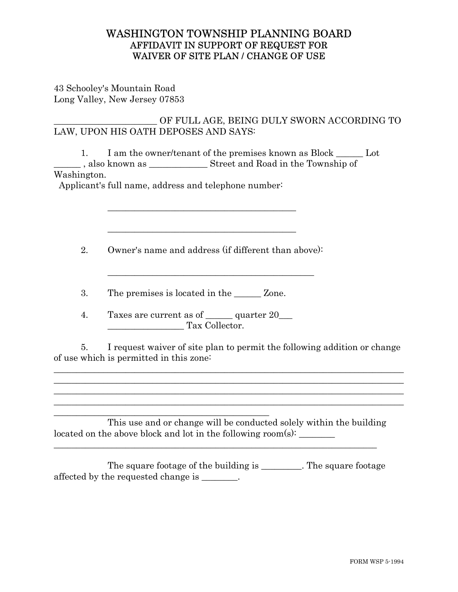## WASHINGTON TOWNSHIP PLANNING BOARD AFFIDAVIT IN SUPPORT OF REQUEST FOR WAIVER OF SITE PLAN / CHANGE OF USE

43 Schooley's Mountain Road Long Valley, New Jersey 07853

## \_\_\_\_\_\_\_\_\_\_\_\_\_\_\_\_\_\_\_\_\_\_\_ OF FULL AGE, BEING DULY SWORN ACCORDING TO LAW, UPON HIS OATH DEPOSES AND SAYS:

1. I am the owner/tenant of the premises known as Block \_\_\_\_\_\_ Lot

\_\_\_\_\_\_ , also known as \_\_\_\_\_\_\_\_\_\_\_\_\_ Street and Road in the Township of Washington.

Applicant's full name, address and telephone number:

 $\mathcal{L}_\text{max}$  , and the contract of the contract of the contract of the contract of the contract of the contract of the contract of the contract of the contract of the contract of the contract of the contract of the contr

2. Owner's name and address (if different than above):

 $\mathcal{L}_\mathcal{L}$  , where  $\mathcal{L}_\mathcal{L}$  , we have the set of the set of the set of the set of the set of the set of the set of the set of the set of the set of the set of the set of the set of the set of the set of the set

3. The premises is located in the \_\_\_\_\_\_ Zone.

 $\mathcal{L}_\text{max}$  , and the contract of the contract of the contract of the contract of the contract of the contract of the contract of the contract of the contract of the contract of the contract of the contract of the contr

4. Taxes are current as of quarter 20 Tax Collector.

5. I request waiver of site plan to permit the following addition or change of use which is permitted in this zone:

\_\_\_\_\_\_\_\_\_\_\_\_\_\_\_\_\_\_\_\_\_\_\_\_\_\_\_\_\_\_\_\_\_\_\_\_\_\_\_\_\_\_\_\_\_\_\_\_\_\_\_\_\_\_\_\_\_\_\_\_\_\_\_\_\_\_\_\_\_\_\_\_\_\_\_\_\_\_  $\_$  , and the set of the set of the set of the set of the set of the set of the set of the set of the set of the set of the set of the set of the set of the set of the set of the set of the set of the set of the set of th \_\_\_\_\_\_\_\_\_\_\_\_\_\_\_\_\_\_\_\_\_\_\_\_\_\_\_\_\_\_\_\_\_\_\_\_\_\_\_\_\_\_\_\_\_\_\_\_\_\_\_\_\_\_\_\_\_\_\_\_\_\_\_\_\_\_\_\_\_\_\_\_\_\_\_\_\_\_  $\_$  , and the set of the set of the set of the set of the set of the set of the set of the set of the set of the set of the set of the set of the set of the set of the set of the set of the set of the set of the set of th

\_\_\_\_\_\_\_\_\_\_\_\_\_\_\_\_\_\_\_\_\_\_\_\_\_\_\_\_\_\_\_\_\_\_\_\_\_\_\_\_\_\_\_\_\_\_\_\_ This use and or change will be conducted solely within the building located on the above block and lot in the following room(s):  $\frac{1}{\sqrt{2\pi}}$ 

 The square footage of the building is \_\_\_\_\_\_\_\_\_. The square footage affected by the requested change is \_\_\_\_\_\_\_\_.